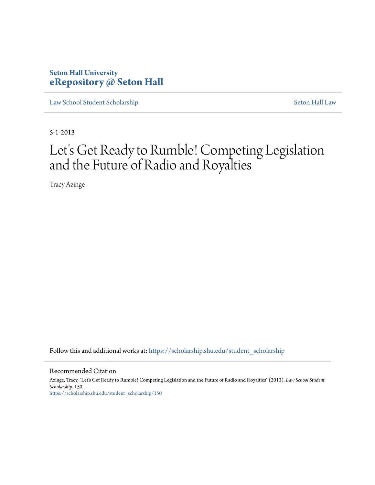### **Seton Hall University [eRepository @ Seton Hall](https://scholarship.shu.edu?utm_source=scholarship.shu.edu%2Fstudent_scholarship%2F150&utm_medium=PDF&utm_campaign=PDFCoverPages)**

[Law School Student Scholarship](https://scholarship.shu.edu/student_scholarship?utm_source=scholarship.shu.edu%2Fstudent_scholarship%2F150&utm_medium=PDF&utm_campaign=PDFCoverPages) [Seton Hall Law](https://scholarship.shu.edu/law?utm_source=scholarship.shu.edu%2Fstudent_scholarship%2F150&utm_medium=PDF&utm_campaign=PDFCoverPages)

5-1-2013

# Let's Get Ready to Rumble! Competing Legislation and the Future of Radio and Royalties

Tracy Azinge

Follow this and additional works at: [https://scholarship.shu.edu/student\\_scholarship](https://scholarship.shu.edu/student_scholarship?utm_source=scholarship.shu.edu%2Fstudent_scholarship%2F150&utm_medium=PDF&utm_campaign=PDFCoverPages)

#### Recommended Citation

Azinge, Tracy, "Let's Get Ready to Rumble! Competing Legislation and the Future of Radio and Royalties" (2013). *Law School Student Scholarship*. 150. [https://scholarship.shu.edu/student\\_scholarship/150](https://scholarship.shu.edu/student_scholarship/150?utm_source=scholarship.shu.edu%2Fstudent_scholarship%2F150&utm_medium=PDF&utm_campaign=PDFCoverPages)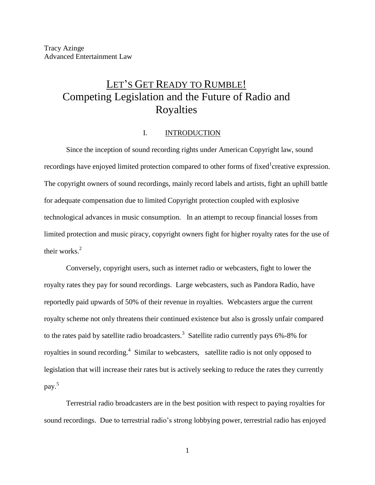## LET'S GET READY TO RUMBLE! Competing Legislation and the Future of Radio and Royalties

#### I. INTRODUCTION

Since the inception of sound recording rights under American Copyright law, sound recordings have enjoyed limited protection compared to other forms of fixed<sup>1</sup> creative expression. The copyright owners of sound recordings, mainly record labels and artists, fight an uphill battle for adequate compensation due to limited Copyright protection coupled with explosive technological advances in music consumption. In an attempt to recoup financial losses from limited protection and music piracy, copyright owners fight for higher royalty rates for the use of their works. $2$ 

Conversely, copyright users, such as internet radio or webcasters, fight to lower the royalty rates they pay for sound recordings. Large webcasters, such as Pandora Radio, have reportedly paid upwards of 50% of their revenue in royalties. Webcasters argue the current royalty scheme not only threatens their continued existence but also is grossly unfair compared to the rates paid by satellite radio broadcasters.<sup>3</sup> Satellite radio currently pays  $6\%$ -8% for royalties in sound recording.<sup>4</sup> Similar to webcasters, satellite radio is not only opposed to legislation that will increase their rates but is actively seeking to reduce the rates they currently pay.<sup>5</sup>

Terrestrial radio broadcasters are in the best position with respect to paying royalties for sound recordings. Due to terrestrial radio's strong lobbying power, terrestrial radio has enjoyed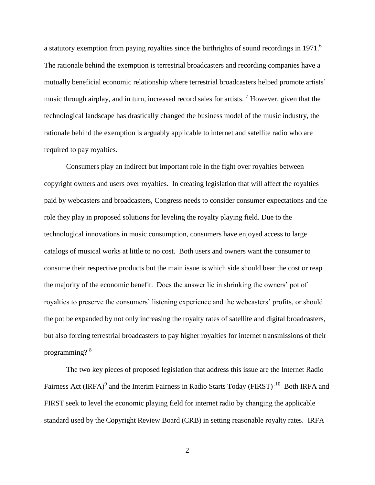a statutory exemption from paying royalties since the birthrights of sound recordings in 1971.<sup>6</sup> The rationale behind the exemption is terrestrial broadcasters and recording companies have a mutually beneficial economic relationship where terrestrial broadcasters helped promote artists' music through airplay, and in turn, increased record sales for artists.<sup>7</sup> However, given that the technological landscape has drastically changed the business model of the music industry, the rationale behind the exemption is arguably applicable to internet and satellite radio who are required to pay royalties.

Consumers play an indirect but important role in the fight over royalties between copyright owners and users over royalties. In creating legislation that will affect the royalties paid by webcasters and broadcasters, Congress needs to consider consumer expectations and the role they play in proposed solutions for leveling the royalty playing field. Due to the technological innovations in music consumption, consumers have enjoyed access to large catalogs of musical works at little to no cost. Both users and owners want the consumer to consume their respective products but the main issue is which side should bear the cost or reap the majority of the economic benefit. Does the answer lie in shrinking the owners' pot of royalties to preserve the consumers' listening experience and the webcasters' profits, or should the pot be expanded by not only increasing the royalty rates of satellite and digital broadcasters, but also forcing terrestrial broadcasters to pay higher royalties for internet transmissions of their programming? <sup>8</sup>

The two key pieces of proposed legislation that address this issue are the Internet Radio Fairness Act (IRFA)<sup>9</sup> and the Interim Fairness in Radio Starts Today (FIRST)<sup>10</sup> Both IRFA and FIRST seek to level the economic playing field for internet radio by changing the applicable standard used by the Copyright Review Board (CRB) in setting reasonable royalty rates. IRFA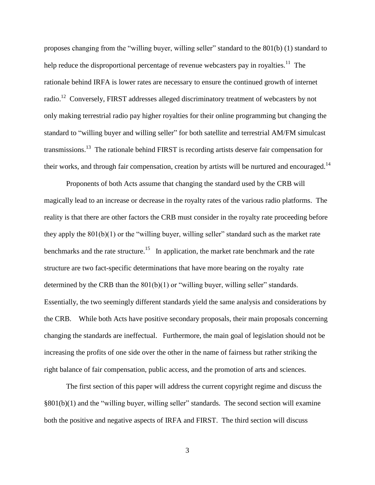proposes changing from the "willing buyer, willing seller" standard to the 801(b) (1) standard to help reduce the disproportional percentage of revenue webcasters pay in royalties.<sup>11</sup> The rationale behind IRFA is lower rates are necessary to ensure the continued growth of internet radio.<sup>12</sup> Conversely, FIRST addresses alleged discriminatory treatment of webcasters by not only making terrestrial radio pay higher royalties for their online programming but changing the standard to "willing buyer and willing seller" for both satellite and terrestrial AM/FM simulcast transmissions.<sup>13</sup> The rationale behind FIRST is recording artists deserve fair compensation for their works, and through fair compensation, creation by artists will be nurtured and encouraged.<sup>14</sup>

Proponents of both Acts assume that changing the standard used by the CRB will magically lead to an increase or decrease in the royalty rates of the various radio platforms. The reality is that there are other factors the CRB must consider in the royalty rate proceeding before they apply the 801(b)(1) or the "willing buyer, willing seller" standard such as the market rate benchmarks and the rate structure.<sup>15</sup> In application, the market rate benchmark and the rate structure are two fact-specific determinations that have more bearing on the royalty rate determined by the CRB than the  $801(b)(1)$  or "willing buyer, willing seller" standards. Essentially, the two seemingly different standards yield the same analysis and considerations by the CRB. While both Acts have positive secondary proposals, their main proposals concerning changing the standards are ineffectual. Furthermore, the main goal of legislation should not be increasing the profits of one side over the other in the name of fairness but rather striking the right balance of fair compensation, public access, and the promotion of arts and sciences.

The first section of this paper will address the current copyright regime and discuss the §801(b)(1) and the "willing buyer, willing seller" standards. The second section will examine both the positive and negative aspects of IRFA and FIRST. The third section will discuss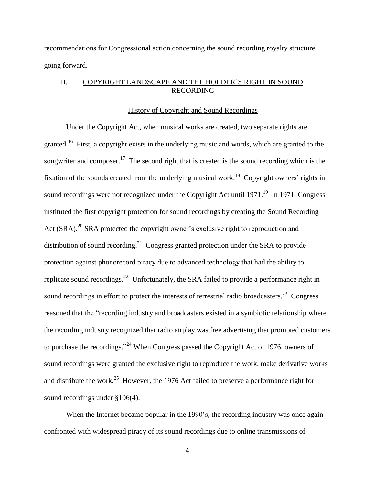recommendations for Congressional action concerning the sound recording royalty structure going forward.

#### II. COPYRIGHT LANDSCAPE AND THE HOLDER'S RIGHT IN SOUND RECORDING

#### History of Copyright and Sound Recordings

Under the Copyright Act, when musical works are created, two separate rights are granted.<sup>16</sup> First, a copyright exists in the underlying music and words, which are granted to the songwriter and composer.<sup>17</sup> The second right that is created is the sound recording which is the fixation of the sounds created from the underlying musical work.<sup>18</sup> Copyright owners' rights in sound recordings were not recognized under the Copyright Act until  $1971$ .<sup>19</sup> In 1971, Congress instituted the first copyright protection for sound recordings by creating the Sound Recording Act (SRA).<sup>20</sup> SRA protected the copyright owner's exclusive right to reproduction and distribution of sound recording.<sup>21</sup> Congress granted protection under the SRA to provide protection against phonorecord piracy due to advanced technology that had the ability to replicate sound recordings.<sup>22</sup> Unfortunately, the SRA failed to provide a performance right in sound recordings in effort to protect the interests of terrestrial radio broadcasters.<sup>23</sup> Congress reasoned that the "recording industry and broadcasters existed in a symbiotic relationship where the recording industry recognized that radio airplay was free advertising that prompted customers to purchase the recordings."<sup>24</sup> When Congress passed the Copyright Act of 1976, owners of sound recordings were granted the exclusive right to reproduce the work, make derivative works and distribute the work.<sup>25</sup> However, the 1976 Act failed to preserve a performance right for sound recordings under §106(4).

When the Internet became popular in the 1990's, the recording industry was once again confronted with widespread piracy of its sound recordings due to online transmissions of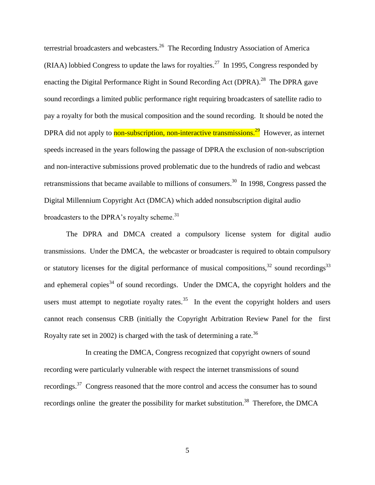terrestrial broadcasters and webcasters.<sup>26</sup> The Recording Industry Association of America (RIAA) lobbied Congress to update the laws for royalties.<sup>27</sup> In 1995, Congress responded by enacting the Digital Performance Right in Sound Recording Act (DPRA).<sup>28</sup> The DPRA gave sound recordings a limited public performance right requiring broadcasters of satellite radio to pay a royalty for both the musical composition and the sound recording. It should be noted the DPRA did not apply to **non-subscription, non-interactive transmissions.<sup>29</sup> However, as internet** speeds increased in the years following the passage of DPRA the exclusion of non-subscription and non-interactive submissions proved problematic due to the hundreds of radio and webcast retransmissions that became available to millions of consumers.<sup>30</sup> In 1998, Congress passed the Digital Millennium Copyright Act (DMCA) which added nonsubscription digital audio broadcasters to the DPRA's royalty scheme.<sup>31</sup>

The DPRA and DMCA created a compulsory license system for digital audio transmissions. Under the DMCA, the webcaster or broadcaster is required to obtain compulsory or statutory licenses for the digital performance of musical compositions,  $32$  sound recordings  $33$ and ephemeral copies<sup>34</sup> of sound recordings. Under the DMCA, the copyright holders and the users must attempt to negotiate royalty rates.<sup>35</sup> In the event the copyright holders and users cannot reach consensus CRB (initially the Copyright Arbitration Review Panel for the first Royalty rate set in 2002) is charged with the task of determining a rate.<sup>36</sup>

In creating the DMCA, Congress recognized that copyright owners of sound recording were particularly vulnerable with respect the internet transmissions of sound recordings.<sup>37</sup> Congress reasoned that the more control and access the consumer has to sound recordings online the greater the possibility for market substitution.<sup>38</sup> Therefore, the DMCA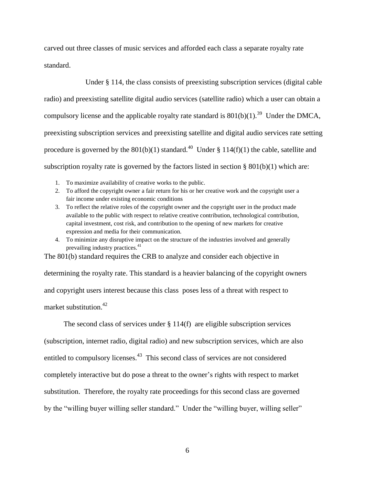carved out three classes of music services and afforded each class a separate royalty rate standard.

Under § 114, the class consists of preexisting subscription services (digital cable radio) and preexisting satellite digital audio services (satellite radio) which a user can obtain a compulsory license and the applicable royalty rate standard is  $801(b)(1)$ .<sup>39</sup> Under the DMCA, preexisting subscription services and preexisting satellite and digital audio services rate setting procedure is governed by the  $801(b)(1)$  standard.<sup>40</sup> Under § 114(f)(1) the cable, satellite and subscription royalty rate is governed by the factors listed in section  $\S 801(b)(1)$  which are:

- 1. To maximize availability of creative works to the public.
- 2. To afford the copyright owner a fair return for his or her creative work and the copyright user a fair income under existing economic conditions
- 3. To reflect the relative roles of the copyright owner and the copyright user in the product made available to the public with respect to relative creative contribution, technological contribution, capital investment, cost risk, and contribution to the opening of new markets for creative expression and media for their communication.
- 4. To minimize any disruptive impact on the structure of the industries involved and generally prevailing industry practices.<sup>41</sup>

The 801(b) standard requires the CRB to analyze and consider each objective in determining the royalty rate. This standard is a heavier balancing of the copyright owners and copyright users interest because this class poses less of a threat with respect to market substitution.<sup>42</sup>

The second class of services under § 114(f) are eligible subscription services (subscription, internet radio, digital radio) and new subscription services, which are also entitled to compulsory licenses.<sup>43</sup> This second class of services are not considered completely interactive but do pose a threat to the owner's rights with respect to market substitution. Therefore, the royalty rate proceedings for this second class are governed by the "willing buyer willing seller standard." Under the "willing buyer, willing seller"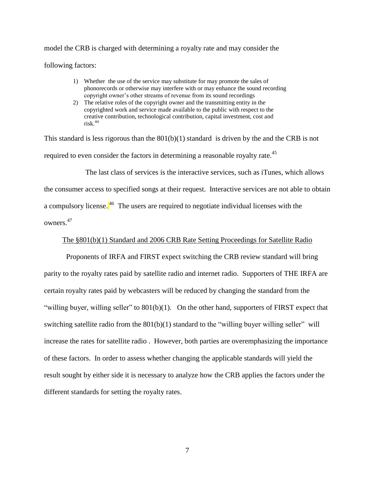model the CRB is charged with determining a royalty rate and may consider the following factors:

- 1) Whether the use of the service may substitute for may promote the sales of phonorecords or otherwise may interfere with or may enhance the sound recording copyright owner's other streams of revenue from its sound recordings
- 2) The relative roles of the copyright owner and the transmitting entity in the copyrighted work and service made available to the public with respect to the creative contribution, technological contribution, capital investment, cost and risk.<sup>44</sup>

This standard is less rigorous than the  $801(b)(1)$  standard is driven by the and the CRB is not required to even consider the factors in determining a reasonable royalty rate.<sup>45</sup>

The last class of services is the interactive services, such as iTunes, which allows the consumer access to specified songs at their request. Interactive services are not able to obtain a compulsory license.<sup>46</sup> The users are required to negotiate individual licenses with the owners.<sup>47</sup>

#### The §801(b)(1) Standard and 2006 CRB Rate Setting Proceedings for Satellite Radio

Proponents of IRFA and FIRST expect switching the CRB review standard will bring parity to the royalty rates paid by satellite radio and internet radio. Supporters of THE IRFA are certain royalty rates paid by webcasters will be reduced by changing the standard from the "willing buyer, willing seller" to 801(b)(1). On the other hand, supporters of FIRST expect that switching satellite radio from the 801(b)(1) standard to the "willing buyer willing seller" will increase the rates for satellite radio . However, both parties are overemphasizing the importance of these factors. In order to assess whether changing the applicable standards will yield the result sought by either side it is necessary to analyze how the CRB applies the factors under the different standards for setting the royalty rates.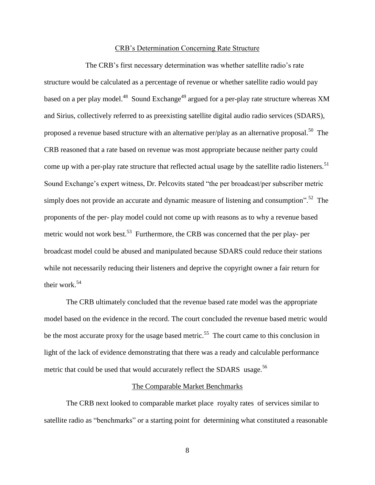#### CRB's Determination Concerning Rate Structure

The CRB's first necessary determination was whether satellite radio's rate structure would be calculated as a percentage of revenue or whether satellite radio would pay based on a per play model.<sup>48</sup> Sound Exchange<sup>49</sup> argued for a per-play rate structure whereas XM and Sirius, collectively referred to as preexisting satellite digital audio radio services (SDARS), proposed a revenue based structure with an alternative per/play as an alternative proposal.<sup>50</sup> The CRB reasoned that a rate based on revenue was most appropriate because neither party could come up with a per-play rate structure that reflected actual usage by the satellite radio listeners.<sup>51</sup> Sound Exchange's expert witness, Dr. Pelcovits stated "the per broadcast/per subscriber metric simply does not provide an accurate and dynamic measure of listening and consumption".<sup>52</sup> The proponents of the per- play model could not come up with reasons as to why a revenue based metric would not work best.<sup>53</sup> Furthermore, the CRB was concerned that the per play- per broadcast model could be abused and manipulated because SDARS could reduce their stations while not necessarily reducing their listeners and deprive the copyright owner a fair return for their work.<sup>54</sup>

The CRB ultimately concluded that the revenue based rate model was the appropriate model based on the evidence in the record. The court concluded the revenue based metric would be the most accurate proxy for the usage based metric.<sup>55</sup> The court came to this conclusion in light of the lack of evidence demonstrating that there was a ready and calculable performance metric that could be used that would accurately reflect the SDARS usage.<sup>56</sup>

#### The Comparable Market Benchmarks

The CRB next looked to comparable market place royalty rates of services similar to satellite radio as "benchmarks" or a starting point for determining what constituted a reasonable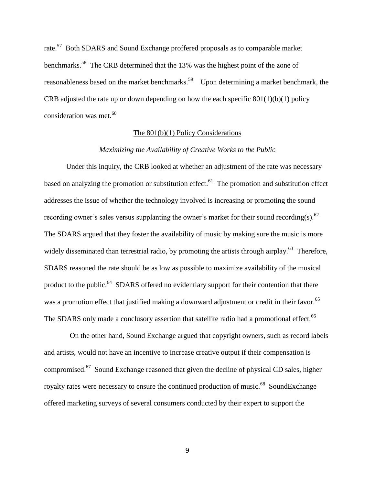rate.<sup>57</sup> Both SDARS and Sound Exchange proffered proposals as to comparable market benchmarks.<sup>58</sup> The CRB determined that the 13% was the highest point of the zone of reasonableness based on the market benchmarks.<sup>59</sup> Upon determining a market benchmark, the CRB adjusted the rate up or down depending on how the each specific  $801(1)(b)(1)$  policy consideration was met.<sup>60</sup>

#### The 801(b)(1) Policy Considerations

#### *Maximizing the Availability of Creative Works to the Public*

Under this inquiry, the CRB looked at whether an adjustment of the rate was necessary based on analyzing the promotion or substitution effect.  $61$  The promotion and substitution effect addresses the issue of whether the technology involved is increasing or promoting the sound recording owner's sales versus supplanting the owner's market for their sound recording(s).  $62$ The SDARS argued that they foster the availability of music by making sure the music is more widely disseminated than terrestrial radio, by promoting the artists through airplay.<sup>63</sup> Therefore, SDARS reasoned the rate should be as low as possible to maximize availability of the musical product to the public.<sup>64</sup> SDARS offered no evidentiary support for their contention that there was a promotion effect that justified making a downward adjustment or credit in their favor.<sup>65</sup> The SDARS only made a conclusory assertion that satellite radio had a promotional effect.<sup>66</sup>

On the other hand, Sound Exchange argued that copyright owners, such as record labels and artists, would not have an incentive to increase creative output if their compensation is compromised.<sup>67</sup> Sound Exchange reasoned that given the decline of physical CD sales, higher royalty rates were necessary to ensure the continued production of music.<sup>68</sup> SoundExchange offered marketing surveys of several consumers conducted by their expert to support the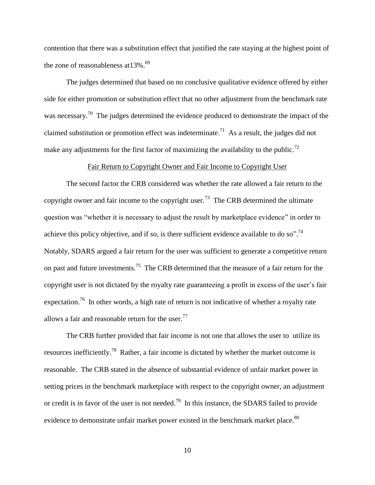contention that there was a substitution effect that justified the rate staying at the highest point of the zone of reasonableness at 13%.<sup>69</sup>

The judges determined that based on no conclusive qualitative evidence offered by either side for either promotion or substitution effect that no other adjustment from the benchmark rate was necessary.<sup>70</sup> The judges determined the evidence produced to demonstrate the impact of the claimed substitution or promotion effect was indeterminate.<sup>71</sup> As a result, the judges did not make any adjustments for the first factor of maximizing the availability to the public.<sup>72</sup>

#### Fair Return to Copyright Owner and Fair Income to Copyright User

The second factor the CRB considered was whether the rate allowed a fair return to the copyright owner and fair income to the copyright user.<sup>73</sup> The CRB determined the ultimate question was "whether it is necessary to adjust the result by marketplace evidence" in order to achieve this policy objective, and if so, is there sufficient evidence available to do so".<sup>74</sup> Notably, SDARS argued a fair return for the user was sufficient to generate a competitive return on past and future investments.<sup>75</sup> The CRB determined that the measure of a fair return for the copyright user is not dictated by the royalty rate guaranteeing a profit in excess of the user's fair expectation.<sup>76</sup> In other words, a high rate of return is not indicative of whether a royalty rate allows a fair and reasonable return for the user.<sup>77</sup>

The CRB further provided that fair income is not one that allows the user to utilize its resources inefficiently.<sup>78</sup> Rather, a fair income is dictated by whether the market outcome is reasonable. The CRB stated in the absence of substantial evidence of unfair market power in setting prices in the benchmark marketplace with respect to the copyright owner, an adjustment or credit is in favor of the user is not needed.<sup>79</sup> In this instance, the SDARS failed to provide evidence to demonstrate unfair market power existed in the benchmark market place.<sup>80</sup>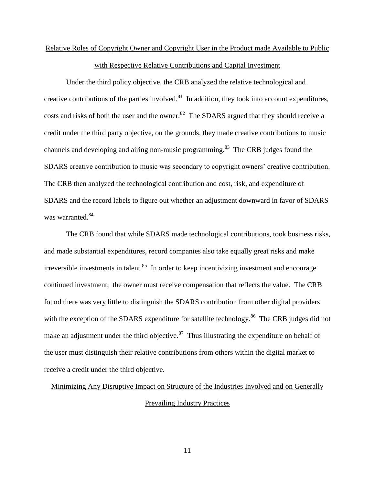## Relative Roles of Copyright Owner and Copyright User in the Product made Available to Public with Respective Relative Contributions and Capital Investment

Under the third policy objective, the CRB analyzed the relative technological and creative contributions of the parties involved.<sup>81</sup> In addition, they took into account expenditures, costs and risks of both the user and the owner.<sup>82</sup> The SDARS argued that they should receive a credit under the third party objective, on the grounds, they made creative contributions to music channels and developing and airing non-music programming.<sup>83</sup> The CRB judges found the SDARS creative contribution to music was secondary to copyright owners' creative contribution. The CRB then analyzed the technological contribution and cost, risk, and expenditure of SDARS and the record labels to figure out whether an adjustment downward in favor of SDARS was warranted.<sup>84</sup>

The CRB found that while SDARS made technological contributions, took business risks, and made substantial expenditures, record companies also take equally great risks and make irreversible investments in talent.<sup>85</sup> In order to keep incentivizing investment and encourage continued investment, the owner must receive compensation that reflects the value. The CRB found there was very little to distinguish the SDARS contribution from other digital providers with the exception of the SDARS expenditure for satellite technology.<sup>86</sup> The CRB judges did not make an adjustment under the third objective. $87$  Thus illustrating the expenditure on behalf of the user must distinguish their relative contributions from others within the digital market to receive a credit under the third objective.

#### Minimizing Any Disruptive Impact on Structure of the Industries Involved and on Generally

#### Prevailing Industry Practices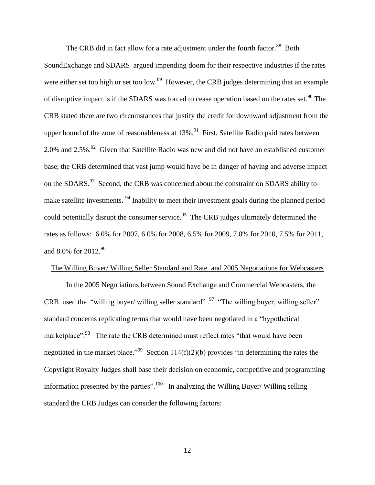The CRB did in fact allow for a rate adjustment under the fourth factor.<sup>88</sup> Both

SoundExchange and SDARS argued impending doom for their respective industries if the rates were either set too high or set too low.<sup>89</sup> However, the CRB judges determining that an example of disruptive impact is if the SDARS was forced to cease operation based on the rates set.<sup>90</sup> The CRB stated there are two circumstances that justify the credit for downward adjustment from the upper bound of the zone of reasonableness at  $13\%$ .<sup>91</sup> First, Satellite Radio paid rates between 2.0% and 2.5%.<sup>92</sup> Given that Satellite Radio was new and did not have an established customer base, the CRB determined that vast jump would have be in danger of having and adverse impact on the SDARS.<sup>93</sup> Second, the CRB was concerned about the constraint on SDARS ability to make satellite investments. <sup>94</sup> Inability to meet their investment goals during the planned period could potentially disrupt the consumer service.<sup>95</sup> The CRB judges ultimately determined the rates as follows: 6.0% for 2007, 6.0% for 2008, 6.5% for 2009, 7.0% for 2010, 7.5% for 2011, and 8.0% for 2012.<sup>96</sup>

#### The Willing Buyer/ Willing Seller Standard and Rate and 2005 Negotiations for Webcasters

In the 2005 Negotiations between Sound Exchange and Commercial Webcasters, the CRB used the "willing buyer/ willing seller standard".<sup>97</sup> "The willing buyer, willing seller" standard concerns replicating terms that would have been negotiated in a "hypothetical marketplace".<sup>98</sup> The rate the CRB determined must reflect rates "that would have been negotiated in the market place."<sup>99</sup> Section 114(f)(2)(b) provides "in determining the rates the Copyright Royalty Judges shall base their decision on economic, competitive and programming information presented by the parties".<sup>100</sup> In analyzing the Willing Buyer/ Willing selling standard the CRB Judges can consider the following factors: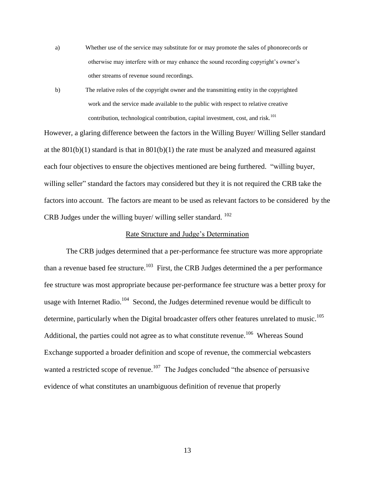- a) Whether use of the service may substitute for or may promote the sales of phonorecords or otherwise may interfere with or may enhance the sound recording copyright's owner's other streams of revenue sound recordings.
- b) The relative roles of the copyright owner and the transmitting entity in the copyrighted work and the service made available to the public with respect to relative creative contribution, technological contribution, capital investment, cost, and risk.<sup>101</sup>

However, a glaring difference between the factors in the Willing Buyer/ Willing Seller standard at the  $801(b)(1)$  standard is that in  $801(b)(1)$  the rate must be analyzed and measured against each four objectives to ensure the objectives mentioned are being furthered. "willing buyer, willing seller" standard the factors may considered but they it is not required the CRB take the factors into account. The factors are meant to be used as relevant factors to be considered by the CRB Judges under the willing buyer/ willing seller standard. <sup>102</sup>

#### Rate Structure and Judge's Determination

The CRB judges determined that a per-performance fee structure was more appropriate than a revenue based fee structure.<sup>103</sup> First, the CRB Judges determined the a per performance fee structure was most appropriate because per-performance fee structure was a better proxy for usage with Internet Radio.<sup>104</sup> Second, the Judges determined revenue would be difficult to determine, particularly when the Digital broadcaster offers other features unrelated to music.<sup>105</sup> Additional, the parties could not agree as to what constitute revenue.<sup>106</sup> Whereas Sound Exchange supported a broader definition and scope of revenue, the commercial webcasters wanted a restricted scope of revenue.<sup>107</sup> The Judges concluded "the absence of persuasive evidence of what constitutes an unambiguous definition of revenue that properly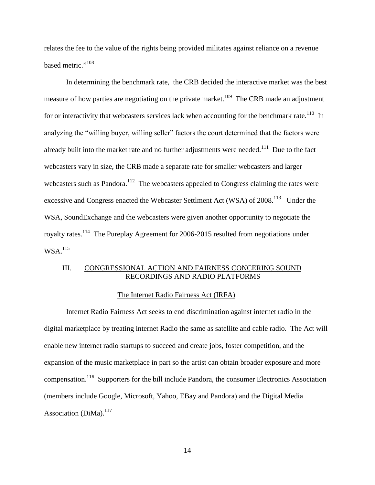relates the fee to the value of the rights being provided militates against reliance on a revenue based metric."<sup>108</sup>

In determining the benchmark rate, the CRB decided the interactive market was the best measure of how parties are negotiating on the private market.<sup>109</sup> The CRB made an adjustment for or interactivity that webcasters services lack when accounting for the benchmark rate.<sup>110</sup> In analyzing the "willing buyer, willing seller" factors the court determined that the factors were already built into the market rate and no further adjustments were needed.<sup>111</sup> Due to the fact webcasters vary in size, the CRB made a separate rate for smaller webcasters and larger webcasters such as Pandora.<sup>112</sup> The webcasters appealed to Congress claiming the rates were excessive and Congress enacted the Webcaster Settlment Act (WSA) of  $2008$ .<sup>113</sup> Under the WSA, SoundExchange and the webcasters were given another opportunity to negotiate the royalty rates.<sup>114</sup> The Pureplay Agreement for 2006-2015 resulted from negotiations under WSA.<sup>115</sup>

#### III. CONGRESSIONAL ACTION AND FAIRNESS CONCERING SOUND RECORDINGS AND RADIO PLATFORMS

#### The Internet Radio Fairness Act (IRFA)

Internet Radio Fairness Act seeks to end discrimination against internet radio in the digital marketplace by treating internet Radio the same as satellite and cable radio. The Act will enable new internet radio startups to succeed and create jobs, foster competition, and the expansion of the music marketplace in part so the artist can obtain broader exposure and more compensation.<sup>116</sup> Supporters for the bill include Pandora, the consumer Electronics Association (members include Google, Microsoft, Yahoo, EBay and Pandora) and the Digital Media Association (DiMa). $^{117}$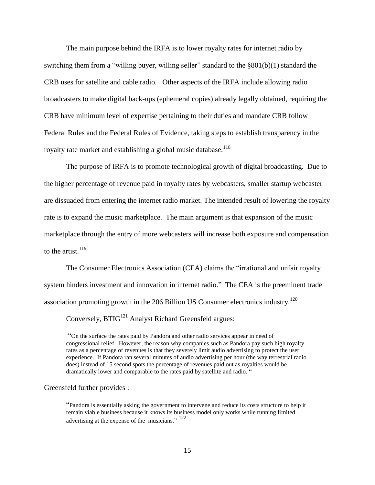The main purpose behind the IRFA is to lower royalty rates for internet radio by switching them from a "willing buyer, willing seller" standard to the §801(b)(1) standard the CRB uses for satellite and cable radio. Other aspects of the IRFA include allowing radio broadcasters to make digital back-ups (ephemeral copies) already legally obtained, requiring the CRB have minimum level of expertise pertaining to their duties and mandate CRB follow Federal Rules and the Federal Rules of Evidence, taking steps to establish transparency in the royalty rate market and establishing a global music database.<sup>118</sup>

The purpose of IRFA is to promote technological growth of digital broadcasting. Due to the higher percentage of revenue paid in royalty rates by webcasters, smaller startup webcaster are dissuaded from entering the internet radio market. The intended result of lowering the royalty rate is to expand the music marketplace. The main argument is that expansion of the music marketplace through the entry of more webcasters will increase both exposure and compensation to the artist.  $119$ 

The Consumer Electronics Association (CEA) claims the "irrational and unfair royalty system hinders investment and innovation in internet radio." The CEA is the preeminent trade association promoting growth in the 206 Billion US Consumer electronics industry.<sup>120</sup>

Conversely,  $BTIG<sup>121</sup>$  Analyst Richard Greensfeld argues:

"On the surface the rates paid by Pandora and other radio services appear in need of congressional relief. However, the reason why companies such as Pandora pay such high royalty rates as a percentage of revenues is that they severely limit audio advertising to protect the user experience. If Pandora ran several minutes of audio advertising per hour (the way terrestrial radio does) instead of 15 second spots the percentage of revenues paid out as royalties would be dramatically lower and comparable to the rates paid by satellite and radio. "

#### Greensfeld further provides :

"Pandora is essentially asking the government to intervene and reduce its costs structure to help it remain viable business because it knows its business model only works while running limited advertising at the expense of the musicians."  $122$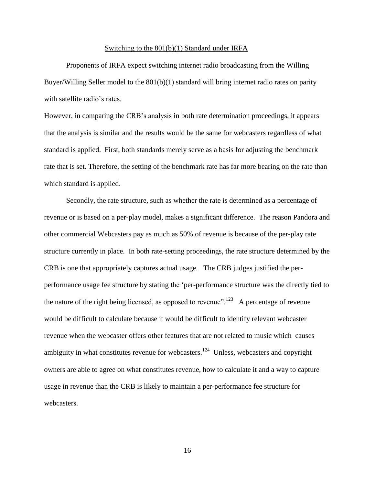#### Switching to the 801(b)(1) Standard under IRFA

Proponents of IRFA expect switching internet radio broadcasting from the Willing Buyer/Willing Seller model to the  $801(b)(1)$  standard will bring internet radio rates on parity with satellite radio's rates.

However, in comparing the CRB's analysis in both rate determination proceedings, it appears that the analysis is similar and the results would be the same for webcasters regardless of what standard is applied. First, both standards merely serve as a basis for adjusting the benchmark rate that is set. Therefore, the setting of the benchmark rate has far more bearing on the rate than which standard is applied.

Secondly, the rate structure, such as whether the rate is determined as a percentage of revenue or is based on a per-play model, makes a significant difference. The reason Pandora and other commercial Webcasters pay as much as 50% of revenue is because of the per-play rate structure currently in place. In both rate-setting proceedings, the rate structure determined by the CRB is one that appropriately captures actual usage. The CRB judges justified the perperformance usage fee structure by stating the 'per-performance structure was the directly tied to the nature of the right being licensed, as opposed to revenue".<sup>123</sup> A percentage of revenue would be difficult to calculate because it would be difficult to identify relevant webcaster revenue when the webcaster offers other features that are not related to music which causes ambiguity in what constitutes revenue for webcasters.<sup>124</sup> Unless, webcasters and copyright owners are able to agree on what constitutes revenue, how to calculate it and a way to capture usage in revenue than the CRB is likely to maintain a per-performance fee structure for webcasters.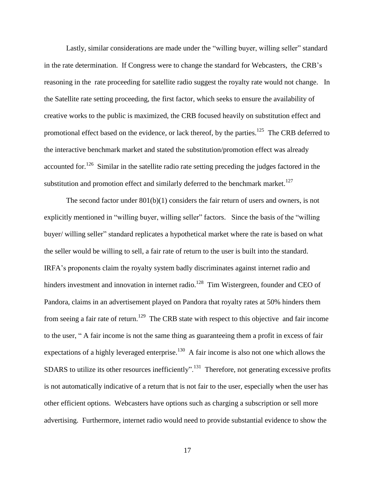Lastly, similar considerations are made under the "willing buyer, willing seller" standard in the rate determination. If Congress were to change the standard for Webcasters, the CRB's reasoning in the rate proceeding for satellite radio suggest the royalty rate would not change. In the Satellite rate setting proceeding, the first factor, which seeks to ensure the availability of creative works to the public is maximized, the CRB focused heavily on substitution effect and promotional effect based on the evidence, or lack thereof, by the parties.<sup>125</sup> The CRB deferred to the interactive benchmark market and stated the substitution/promotion effect was already accounted for.<sup>126</sup> Similar in the satellite radio rate setting preceding the judges factored in the substitution and promotion effect and similarly deferred to the benchmark market.<sup>127</sup>

The second factor under  $801(b)(1)$  considers the fair return of users and owners, is not explicitly mentioned in "willing buyer, willing seller" factors. Since the basis of the "willing buyer/ willing seller" standard replicates a hypothetical market where the rate is based on what the seller would be willing to sell, a fair rate of return to the user is built into the standard. IRFA's proponents claim the royalty system badly discriminates against internet radio and hinders investment and innovation in internet radio.<sup>128</sup> Tim Wistergreen, founder and CEO of Pandora, claims in an advertisement played on Pandora that royalty rates at 50% hinders them from seeing a fair rate of return.<sup>129</sup> The CRB state with respect to this objective and fair income to the user, " A fair income is not the same thing as guaranteeing them a profit in excess of fair expectations of a highly leveraged enterprise. $130$  A fair income is also not one which allows the SDARS to utilize its other resources inefficiently".<sup>131</sup> Therefore, not generating excessive profits is not automatically indicative of a return that is not fair to the user, especially when the user has other efficient options. Webcasters have options such as charging a subscription or sell more advertising. Furthermore, internet radio would need to provide substantial evidence to show the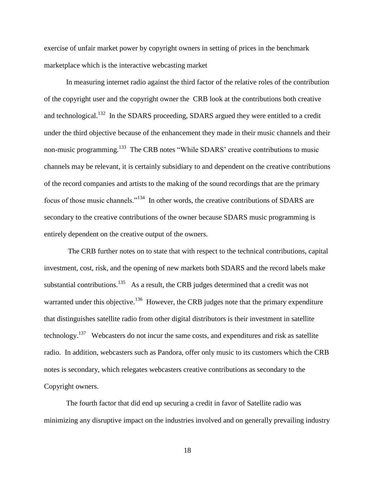exercise of unfair market power by copyright owners in setting of prices in the benchmark marketplace which is the interactive webcasting market

In measuring internet radio against the third factor of the relative roles of the contribution of the copyright user and the copyright owner the CRB look at the contributions both creative and technological.<sup>132</sup> In the SDARS proceeding, SDARS argued they were entitled to a credit under the third objective because of the enhancement they made in their music channels and their non-music programming.<sup>133</sup> The CRB notes "While SDARS' creative contributions to music channels may be relevant, it is certainly subsidiary to and dependent on the creative contributions of the record companies and artists to the making of the sound recordings that are the primary focus of those music channels."<sup>134</sup> In other words, the creative contributions of SDARS are secondary to the creative contributions of the owner because SDARS music programming is entirely dependent on the creative output of the owners.

The CRB further notes on to state that with respect to the technical contributions, capital investment, cost, risk, and the opening of new markets both SDARS and the record labels make substantial contributions.<sup>135</sup> As a result, the CRB judges determined that a credit was not warranted under this objective.<sup>136</sup> However, the CRB judges note that the primary expenditure that distinguishes satellite radio from other digital distributors is their investment in satellite technology.<sup>137</sup> Webcasters do not incur the same costs, and expenditures and risk as satellite radio. In addition, webcasters such as Pandora, offer only music to its customers which the CRB notes is secondary, which relegates webcasters creative contributions as secondary to the Copyright owners.

The fourth factor that did end up securing a credit in favor of Satellite radio was minimizing any disruptive impact on the industries involved and on generally prevailing industry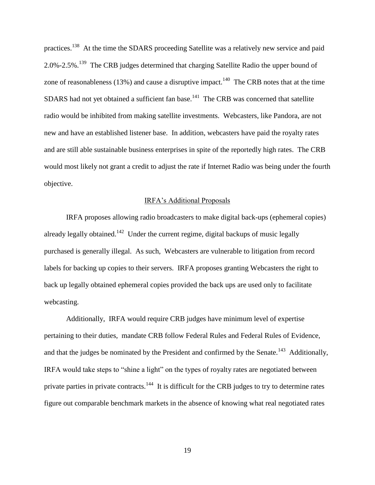practices.<sup>138</sup> At the time the SDARS proceeding Satellite was a relatively new service and paid 2.0%-2.5%.<sup>139</sup> The CRB judges determined that charging Satellite Radio the upper bound of zone of reasonableness (13%) and cause a disruptive impact.<sup>140</sup> The CRB notes that at the time SDARS had not yet obtained a sufficient fan base. $141$  The CRB was concerned that satellite radio would be inhibited from making satellite investments. Webcasters, like Pandora, are not new and have an established listener base. In addition, webcasters have paid the royalty rates and are still able sustainable business enterprises in spite of the reportedly high rates. The CRB would most likely not grant a credit to adjust the rate if Internet Radio was being under the fourth objective.

#### IRFA's Additional Proposals

IRFA proposes allowing radio broadcasters to make digital back-ups (ephemeral copies) already legally obtained.<sup>142</sup> Under the current regime, digital backups of music legally purchased is generally illegal. As such, Webcasters are vulnerable to litigation from record labels for backing up copies to their servers. IRFA proposes granting Webcasters the right to back up legally obtained ephemeral copies provided the back ups are used only to facilitate webcasting.

Additionally, IRFA would require CRB judges have minimum level of expertise pertaining to their duties, mandate CRB follow Federal Rules and Federal Rules of Evidence, and that the judges be nominated by the President and confirmed by the Senate.<sup>143</sup> Additionally, IRFA would take steps to "shine a light" on the types of royalty rates are negotiated between private parties in private contracts.<sup>144</sup> It is difficult for the CRB judges to try to determine rates figure out comparable benchmark markets in the absence of knowing what real negotiated rates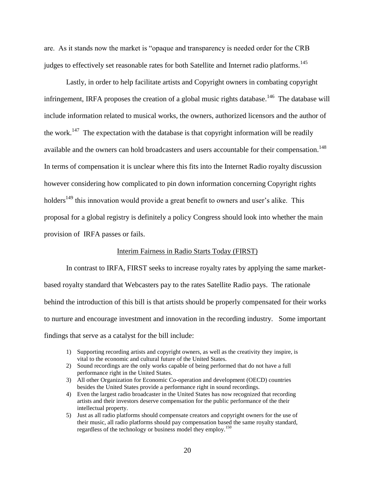are. As it stands now the market is "opaque and transparency is needed order for the CRB judges to effectively set reasonable rates for both Satellite and Internet radio platforms.<sup>145</sup>

Lastly, in order to help facilitate artists and Copyright owners in combating copyright infringement, IRFA proposes the creation of a global music rights database.<sup>146</sup> The database will include information related to musical works, the owners, authorized licensors and the author of the work.<sup>147</sup> The expectation with the database is that copyright information will be readily available and the owners can hold broadcasters and users accountable for their compensation.<sup>148</sup> In terms of compensation it is unclear where this fits into the Internet Radio royalty discussion however considering how complicated to pin down information concerning Copyright rights holders<sup>149</sup> this innovation would provide a great benefit to owners and user's alike. This proposal for a global registry is definitely a policy Congress should look into whether the main provision of IRFA passes or fails.

#### Interim Fairness in Radio Starts Today (FIRST)

In contrast to IRFA, FIRST seeks to increase royalty rates by applying the same marketbased royalty standard that Webcasters pay to the rates Satellite Radio pays. The rationale behind the introduction of this bill is that artists should be properly compensated for their works to nurture and encourage investment and innovation in the recording industry. Some important findings that serve as a catalyst for the bill include:

- 1) Supporting recording artists and copyright owners, as well as the creativity they inspire, is vital to the economic and cultural future of the United States.
- 2) Sound recordings are the only works capable of being performed that do not have a full performance right in the United States.
- 3) All other Organization for Economic Co-operation and development (OECD) countries besides the United States provide a performance right in sound recordings.
- 4) Even the largest radio broadcaster in the United States has now recognized that recording artists and their investors deserve compensation for the public performance of the their intellectual property.
- 5) Just as all radio platforms should compensate creators and copyright owners for the use of their music, all radio platforms should pay compensation based the same royalty standard, regardless of the technology or business model they employ.<sup>150</sup>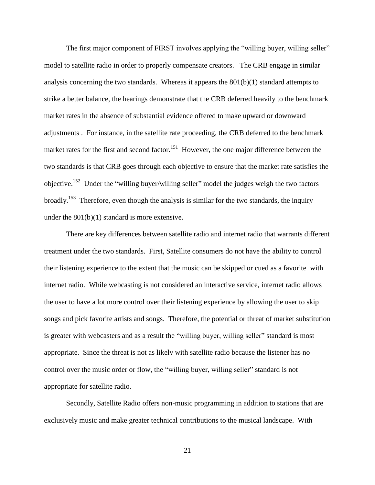The first major component of FIRST involves applying the "willing buyer, willing seller" model to satellite radio in order to properly compensate creators. The CRB engage in similar analysis concerning the two standards. Whereas it appears the  $801(b)(1)$  standard attempts to strike a better balance, the hearings demonstrate that the CRB deferred heavily to the benchmark market rates in the absence of substantial evidence offered to make upward or downward adjustments . For instance, in the satellite rate proceeding, the CRB deferred to the benchmark market rates for the first and second factor.<sup>151</sup> However, the one major difference between the two standards is that CRB goes through each objective to ensure that the market rate satisfies the objective.<sup>152</sup> Under the "willing buyer/willing seller" model the judges weigh the two factors broadly.<sup>153</sup> Therefore, even though the analysis is similar for the two standards, the inquiry under the 801(b)(1) standard is more extensive.

There are key differences between satellite radio and internet radio that warrants different treatment under the two standards. First, Satellite consumers do not have the ability to control their listening experience to the extent that the music can be skipped or cued as a favorite with internet radio. While webcasting is not considered an interactive service, internet radio allows the user to have a lot more control over their listening experience by allowing the user to skip songs and pick favorite artists and songs. Therefore, the potential or threat of market substitution is greater with webcasters and as a result the "willing buyer, willing seller" standard is most appropriate. Since the threat is not as likely with satellite radio because the listener has no control over the music order or flow, the "willing buyer, willing seller" standard is not appropriate for satellite radio.

Secondly, Satellite Radio offers non-music programming in addition to stations that are exclusively music and make greater technical contributions to the musical landscape. With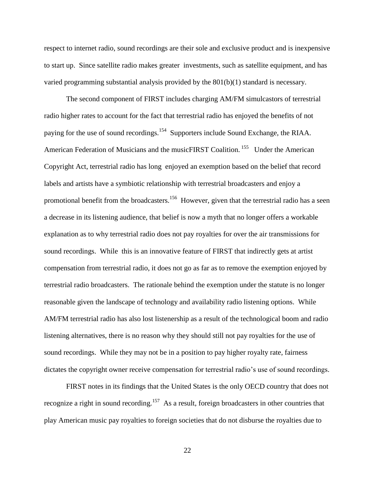respect to internet radio, sound recordings are their sole and exclusive product and is inexpensive to start up. Since satellite radio makes greater investments, such as satellite equipment, and has varied programming substantial analysis provided by the 801(b)(1) standard is necessary.

The second component of FIRST includes charging AM/FM simulcastors of terrestrial radio higher rates to account for the fact that terrestrial radio has enjoyed the benefits of not paying for the use of sound recordings.<sup>154</sup> Supporters include Sound Exchange, the RIAA. American Federation of Musicians and the musicFIRST Coalition.<sup>155</sup> Under the American Copyright Act, terrestrial radio has long enjoyed an exemption based on the belief that record labels and artists have a symbiotic relationship with terrestrial broadcasters and enjoy a promotional benefit from the broadcasters.<sup>156</sup> However, given that the terrestrial radio has a seen a decrease in its listening audience, that belief is now a myth that no longer offers a workable explanation as to why terrestrial radio does not pay royalties for over the air transmissions for sound recordings. While this is an innovative feature of FIRST that indirectly gets at artist compensation from terrestrial radio, it does not go as far as to remove the exemption enjoyed by terrestrial radio broadcasters. The rationale behind the exemption under the statute is no longer reasonable given the landscape of technology and availability radio listening options. While AM/FM terrestrial radio has also lost listenership as a result of the technological boom and radio listening alternatives, there is no reason why they should still not pay royalties for the use of sound recordings. While they may not be in a position to pay higher royalty rate, fairness dictates the copyright owner receive compensation for terrestrial radio's use of sound recordings.

FIRST notes in its findings that the United States is the only OECD country that does not recognize a right in sound recording.<sup>157</sup> As a result, foreign broadcasters in other countries that play American music pay royalties to foreign societies that do not disburse the royalties due to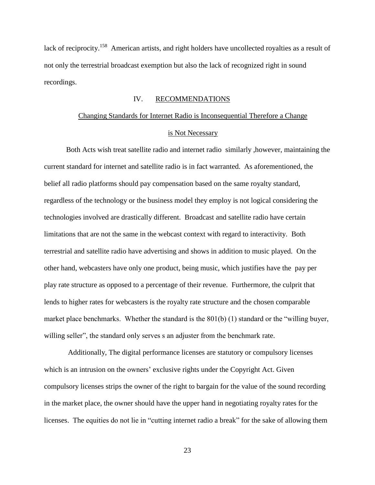lack of reciprocity.<sup>158</sup> American artists, and right holders have uncollected royalties as a result of not only the terrestrial broadcast exemption but also the lack of recognized right in sound recordings.

#### IV. RECOMMENDATIONS

### Changing Standards for Internet Radio is Inconsequential Therefore a Change is Not Necessary

Both Acts wish treat satellite radio and internet radio similarly ,however, maintaining the current standard for internet and satellite radio is in fact warranted. As aforementioned, the belief all radio platforms should pay compensation based on the same royalty standard, regardless of the technology or the business model they employ is not logical considering the technologies involved are drastically different. Broadcast and satellite radio have certain limitations that are not the same in the webcast context with regard to interactivity. Both terrestrial and satellite radio have advertising and shows in addition to music played. On the other hand, webcasters have only one product, being music, which justifies have the pay per play rate structure as opposed to a percentage of their revenue. Furthermore, the culprit that lends to higher rates for webcasters is the royalty rate structure and the chosen comparable market place benchmarks. Whether the standard is the 801(b) (1) standard or the "willing buyer, willing seller", the standard only serves s an adjuster from the benchmark rate.

Additionally, The digital performance licenses are statutory or compulsory licenses which is an intrusion on the owners' exclusive rights under the Copyright Act. Given compulsory licenses strips the owner of the right to bargain for the value of the sound recording in the market place, the owner should have the upper hand in negotiating royalty rates for the licenses. The equities do not lie in "cutting internet radio a break" for the sake of allowing them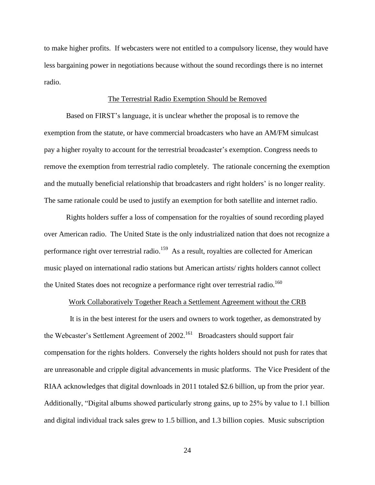to make higher profits. If webcasters were not entitled to a compulsory license, they would have less bargaining power in negotiations because without the sound recordings there is no internet radio.

#### The Terrestrial Radio Exemption Should be Removed

Based on FIRST's language, it is unclear whether the proposal is to remove the exemption from the statute, or have commercial broadcasters who have an AM/FM simulcast pay a higher royalty to account for the terrestrial broadcaster's exemption. Congress needs to remove the exemption from terrestrial radio completely. The rationale concerning the exemption and the mutually beneficial relationship that broadcasters and right holders' is no longer reality. The same rationale could be used to justify an exemption for both satellite and internet radio.

Rights holders suffer a loss of compensation for the royalties of sound recording played over American radio. The United State is the only industrialized nation that does not recognize a performance right over terrestrial radio.<sup>159</sup> As a result, royalties are collected for American music played on international radio stations but American artists/ rights holders cannot collect the United States does not recognize a performance right over terrestrial radio.<sup>160</sup>

#### Work Collaboratively Together Reach a Settlement Agreement without the CRB

 It is in the best interest for the users and owners to work together, as demonstrated by the Webcaster's Settlement Agreement of 2002.<sup>161</sup> Broadcasters should support fair compensation for the rights holders. Conversely the rights holders should not push for rates that are unreasonable and cripple digital advancements in music platforms. The Vice President of the RIAA acknowledges that digital downloads in 2011 totaled \$2.6 billion, up from the prior year. Additionally, "Digital albums showed particularly strong gains, up to 25% by value to 1.1 billion and digital individual track sales grew to 1.5 billion, and 1.3 billion copies. Music subscription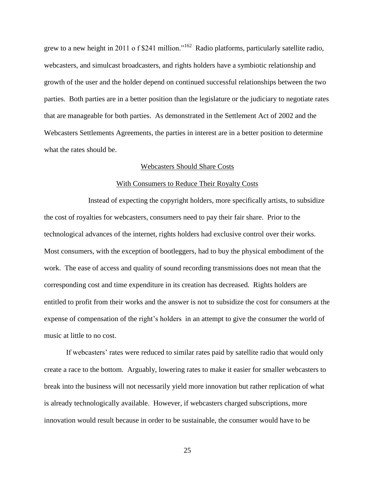grew to a new height in 2011 o f \$241 million."<sup>162</sup> Radio platforms, particularly satellite radio, webcasters, and simulcast broadcasters, and rights holders have a symbiotic relationship and growth of the user and the holder depend on continued successful relationships between the two parties. Both parties are in a better position than the legislature or the judiciary to negotiate rates that are manageable for both parties. As demonstrated in the Settlement Act of 2002 and the Webcasters Settlements Agreements, the parties in interest are in a better position to determine what the rates should be.

#### Webcasters Should Share Costs

#### With Consumers to Reduce Their Royalty Costs

Instead of expecting the copyright holders, more specifically artists, to subsidize the cost of royalties for webcasters, consumers need to pay their fair share. Prior to the technological advances of the internet, rights holders had exclusive control over their works. Most consumers, with the exception of bootleggers, had to buy the physical embodiment of the work. The ease of access and quality of sound recording transmissions does not mean that the corresponding cost and time expenditure in its creation has decreased. Rights holders are entitled to profit from their works and the answer is not to subsidize the cost for consumers at the expense of compensation of the right's holders in an attempt to give the consumer the world of music at little to no cost.

If webcasters' rates were reduced to similar rates paid by satellite radio that would only create a race to the bottom. Arguably, lowering rates to make it easier for smaller webcasters to break into the business will not necessarily yield more innovation but rather replication of what is already technologically available. However, if webcasters charged subscriptions, more innovation would result because in order to be sustainable, the consumer would have to be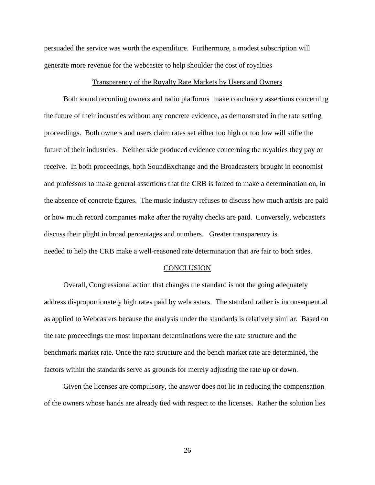persuaded the service was worth the expenditure. Furthermore, a modest subscription will generate more revenue for the webcaster to help shoulder the cost of royalties

#### Transparency of the Royalty Rate Markets by Users and Owners

Both sound recording owners and radio platforms make conclusory assertions concerning the future of their industries without any concrete evidence, as demonstrated in the rate setting proceedings. Both owners and users claim rates set either too high or too low will stifle the future of their industries. Neither side produced evidence concerning the royalties they pay or receive. In both proceedings, both SoundExchange and the Broadcasters brought in economist and professors to make general assertions that the CRB is forced to make a determination on, in the absence of concrete figures. The music industry refuses to discuss how much artists are paid or how much record companies make after the royalty checks are paid. Conversely, webcasters discuss their plight in broad percentages and numbers. Greater transparency is needed to help the CRB make a well-reasoned rate determination that are fair to both sides.

#### CONCLUSION

Overall, Congressional action that changes the standard is not the going adequately address disproportionately high rates paid by webcasters. The standard rather is inconsequential as applied to Webcasters because the analysis under the standards is relatively similar. Based on the rate proceedings the most important determinations were the rate structure and the benchmark market rate. Once the rate structure and the bench market rate are determined, the factors within the standards serve as grounds for merely adjusting the rate up or down.

Given the licenses are compulsory, the answer does not lie in reducing the compensation of the owners whose hands are already tied with respect to the licenses. Rather the solution lies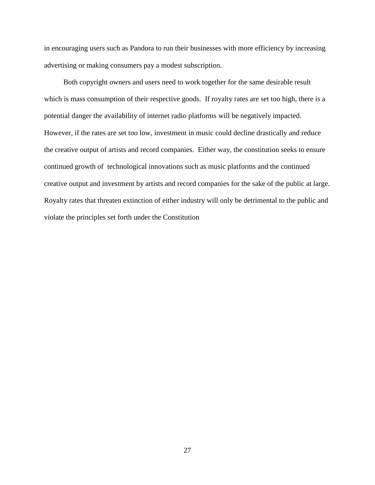in encouraging users such as Pandora to run their businesses with more efficiency by increasing advertising or making consumers pay a modest subscription.

Both copyright owners and users need to work together for the same desirable result which is mass consumption of their respective goods. If royalty rates are set too high, there is a potential danger the availability of internet radio platforms will be negatively impacted. However, if the rates are set too low, investment in music could decline drastically and reduce the creative output of artists and record companies. Either way, the constitution seeks to ensure continued growth of technological innovations such as music platforms and the continued creative output and investment by artists and record companies for the sake of the public at large. Royalty rates that threaten extinction of either industry will only be detrimental to the public and violate the principles set forth under the Constitution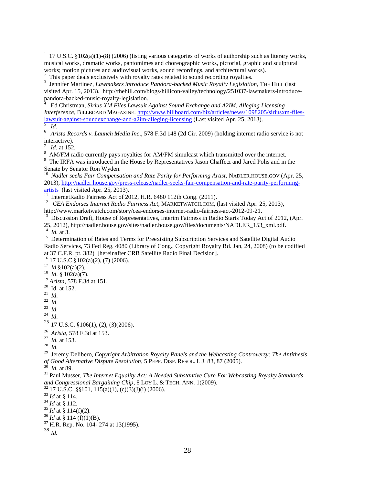<sup>1</sup> 17 U.S.C. §102(a)(1)-(8) (2006) (listing various categories of works of authorship such as literary works, musical works, dramatic works, pantomimes and choreographic works, pictorial, graphic and sculptural works; motion pictures and audiovisual works, sound recordings, and architectural works).

<sup>2</sup> This paper deals exclusively with royalty rates related to sound recording royalties.

<sup>3</sup> Jennifer Martinez, *Lawmakers introduce Pandora-backed Music Royalty Legislation*, THE HILL (last visited Apr. 15, 2013). http://thehill.com/blogs/hillicon-valley/technology/251037-lawmakers-introducepandora-backed-music-royalty-legislation.

4 Ed Christman, *Sirius XM Files Lawsuit Against Sound Exchange and A2IM, Alleging Licensing Interference,* BILLBOARD MAGAZINE. [http://www.billboard.com/biz/articles/news/1098205/siriusxm-files](http://www.billboard.com/biz/articles/news/1098205/siriusxm-files-lawsuit-against-soundexchange-and-a2im-alleging-licensing)[lawsuit-against-soundexchange-and-a2im-alleging-licensing](http://www.billboard.com/biz/articles/news/1098205/siriusxm-files-lawsuit-against-soundexchange-and-a2im-alleging-licensing) (Last visited Apr. 25, 2013).

5 *Id*.

6 *Arista Records v. Launch Media Inc*., 578 F.3d 148 (2d Cir. 2009) (holding internet radio service is not interactive).

7 *Id*. at 152.

8 AM/FM radio currently pays royalties for AM/FM simulcast which transmitted over the internet.

<sup>9</sup> The IRFA was introduced in the House by Representatives Jason Chaffetz and Jared Polis and in the Senate by Senator Ron Wyden.

<sup>10</sup> Nadler seeks Fair Compensation and Rate Parity for Performing Artist, NADLER.HOUSE.GOV (Apr. 25, 2013), [http://nadler.house.gov/press-release/nadler-seeks-fair-compensation-and-rate-parity-performing-](http://nadler.house.gov/press-release/nadler-seeks-fair-compensation-and-rate-parity-performing-artists) $\frac{\text{arbits}}{11}$  Internet Padio Formess Act of 20

InternetRadio Fairness Act of 2012, H.R. 6480 112th Cong. (2011).

<sup>12</sup> CEA Endorses Internet Radio Fairness Act, MARKETWATCH.COM, (last visited Apr. 25, 2013), http://www.marketwatch.com/story/cea-endorses-internet-radio-fairness-act-2012-09-21.

<sup>13</sup> Discussion Draft, House of Representatives, Interim Fairness in Radio Starts Today Act of 2012, (Apr.

25, 2012), http://nadler.house.gov/sites/nadler.house.gov/files/documents/NADLER\_153\_xml.pdf. 14 *Id.* at 3.

<sup>15</sup> Determination of Rates and Terms for Preexisting Subscription Services and Satellite Digital Audio Radio Services, 73 Fed Reg. 4080 (Library of Cong., Copyright Royalty Bd. Jan, 24, 2008) (to be codified at 37 C.F.R. pt. 382) [hereinafter CRB Satellite Radio Final Decision].

 $16$  17 U.S.C. $\frac{2}{9}$ 102(a)(2), (7) (2006).

 $17$  *Id* §102(a)(2).

 $^{18}$  *Id.* § 102(a)(7).

<sup>19</sup> *Arista*, 578 F.3d at 151.

 $20$  Id. at 152.

21 *Id*.

22 *Id.*

23 *Id*.

24 *Id*.

 $25$  17 U.S.C.  $$106(1), (2), (3)(2006)$ .

26 *Arista*, 578 F.3d at 153.

27 *Id.* at 153.

28 *Id.*

29 Jeremy Delibero, *Copyright Arbitration Royalty Panels and the Webcasting Controversy: The Antithesis of Good Alternative Dispute Resolution*, 5 PEPP. DISP. RESOL. L.J. 83, 87 (2005).

30 *Id.* at 89.

<sup>31</sup> Paul Musser, *The Internet Equality Act: A Needed Substantive Cure For Webcasting Royalty Standards and Congressional Bargaining Chip*, 8 LOY L. & TECH. ANN. 1(2009).

 $32$  17 U.S.C. §§101, 115(a)(1), (c)(3)(J)(i) (2006).

<sup>33</sup> *Id* at § 114.

<sup>34</sup> *Id* at § 112.

<sup>35</sup> *Id* at § 114(f)(2).

<sup>36</sup> *Id* at § 114 (f)(1)(B).

 $37$  H.R. Rep. No. 104- 274 at 13(1995).

<sup>38</sup> *Id.*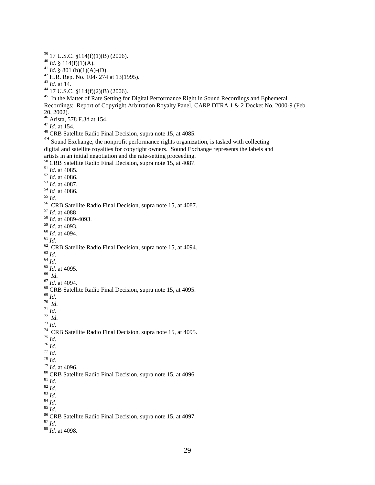$\overline{a}$ 

*Id.* at 14.

 $^{44}$  17 U.S.C. §114(f)(2)(B) (2006).

<sup>45</sup> In the Matter of Rate Setting for Digital Performance Right in Sound Recordings and Ephemeral Recordings: Report of Copyright Arbitration Royalty Panel, CARP DTRA 1 & 2 Docket No. 2000-9 (Feb 20, 2002).

Arista, 578 F.3d at 154.

*Id.* at 154.

<sup>48</sup> CRB Satellite Radio Final Decision, supra note 15, at 4085.

<sup>49</sup> Sound Exchange, the nonprofit performance rights organization, is tasked with collecting digital and satellite royalties for copyright owners. Sound Exchange represents the labels and artists in an initial negotiation and the rate-setting proceeding.

CRB Satellite Radio Final Decision, supra note 15, at 4087.

- *Id*. at 4085. *Id*. at 4086. *Id.* at 4087. *Id* at 4086. *Id.*
- CRB Satellite Radio Final Decision, supra note 15, at 4087.
- *Id.* at 4088
- *Id*. at 4089-4093.
- *Id*. at 4093.
- *Id.* at 4094.
- *Id.*
- $\frac{62}{3}$  CRB Satellite Radio Final Decision, supra note 15, at 4094.
- *Id*.
- *Id*.
- *Id*. at 4095.
- *Id*.
- *Id*. at 4094.
- CRB Satellite Radio Final Decision, supra note 15, at 4095.
- *Id*.
- *Id*.
- *Id.*
- *Id*. *Id*.
- 
- <sup>74</sup> CRB Satellite Radio Final Decision, supra note 15, at 4095.
- *Id*.
- $^{76}$  *Id.*
- *Id.*
- *Id.*
- *Id*. at 4096.
- CRB Satellite Radio Final Decision, supra note 15, at 4096.
- *Id.*
- *Id.*
- *Id*. *Id*.
- *Id*.
- 
- CRB Satellite Radio Final Decision, supra note 15, at 4097.

*Id.* 

*Id.* at 4098.

17 U.S.C. §114(f)(1)(B) (2006).

 $^{40}$  *Id.* § 114(f)(1)(A).

<sup>&</sup>lt;sup>41</sup> *Id.* § 801 (b)(1)(A)-(D).

H.R. Rep. No. 104- 274 at 13(1995).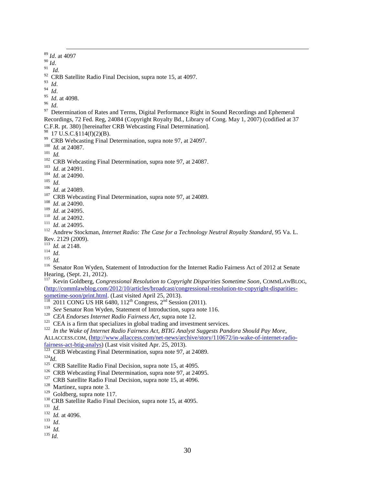<sup>89</sup> *Id*. at 4097 <sup>90</sup> *Id*. 91 *Id.*  $92$  CRB Satellite Radio Final Decision, supra note 15, at 4097. 93 *Id*. 94 *Id*. 95 *Id*. at 4098. 96 *Id*. 97 Determination of Rates and Terms, Digital Performance Right in Sound Recordings and Ephemeral Recordings, 72 Fed. Reg, 24084 (Copyright Royalty Bd., Library of Cong. May 1, 2007) (codified at 37 C.F.R. pt. 380) [hereinafter CRB Webcasting Final Determination].  $^{98}$  17 U.S.C. § 114(f)(2)(B). <sup>99</sup> CRB Webcasting Final Determination, supra note 97, at 24097. 100 *Id.* at 24087. 101  *Id.* <sup>102</sup> CRB Webcasting Final Determination, supra note 97, at 24087. 103 *Id*. at 24091. 104 *Id*. at 24090. 105 *Id*. 106 *Id*. at 24089. <sup>107</sup> CRB Webcasting Final Determination, supra note 97, at 24089. 108 *Id*. at 24090. 109 *Id*. at 24095. 110 *Id*. at 24092. 111 *Id*. at 24095. <sup>112</sup> Andrew Stockman, *Internet Radio: The Case for a Technology Neutral Royalty Standard*, 95 Va. L. Rev. 2129 (2009). 113 *Id.* at 2148. 114 *Id*. 115 *Id.* <sup>116</sup> Senator Ron Wyden, Statement of Introduction for the Internet Radio Fairness Act of 2012 at Senate Hearing, (Sept. 21, 2012). <sup>117</sup> Kevin Goldberg, *Congressional Resolution to Copyright Disparities Sometime Soon*, COMMLAWBLOG, [\(http://commlawblog.com/2012/10/articles/broadcast/congressional-resolution-to-copyright-disparities](http://commlawblog.com/2012/10/articles/broadcast/congressional-resolution-to-copyright-disparities-sometime-soon/print.html)[sometime-soon/print.html.](http://commlawblog.com/2012/10/articles/broadcast/congressional-resolution-to-copyright-disparities-sometime-soon/print.html) (Last visited April 25, 2013).<br><sup>118</sup> 2011 CONG US HR 6480, 112<sup>th</sup> Congress, 2<sup>nd</sup> Session (2011). <sup>119</sup> See Senator Ron Wyden, Statement of Introduction, supra note 116. 120 *CEA Endorses Internet Radio Fairness Act*, supra note 12.  $121$  CEA is a firm that specializes in global trading and investment services. 122 *In the Wake of Internet Radio Fairness Act, BTIG Analyst Suggests Pandora Should Pay More*, ALLACCESS.COM, [\(http://www.allaccess.com/net-news/archive/story/110672/in-wake-of-internet-radio](http://www.allaccess.com/net-news/archive/story/110672/in-wake-of-internet-radio-fairness-act-btig-analys)[fairness-act-btig-analys\)](http://www.allaccess.com/net-news/archive/story/110672/in-wake-of-internet-radio-fairness-act-btig-analys) (Last visit visited Apr. 25, 2013).<br><sup>123</sup> CRB Webcasting Final Determination, supra note 97, at 24089.

- 
- <sup>124</sup>*Id*.
- <sup>125</sup> CRB Satellite Radio Final Decision, supra note 15, at 4095.
- <sup>126</sup> CRB Webcasting Final Determination, supra note 97, at 24095.
- <sup>127</sup> CRB Satellite Radio Final Decision, supra note 15, at 4096.
- <sup>128</sup> Martinez, supra note 3.
- <sup>129</sup> Goldberg, supra note 117.
- <sup>130</sup> CRB Satellite Radio Final Decision, supra note 15, at 4095.
- 131 *Id*.
- 132 *Id.* at 4096.

 $\overline{a}$ 

- 133 *Id*.
- 134 *Id.*
- <sup>135</sup> *Id.*